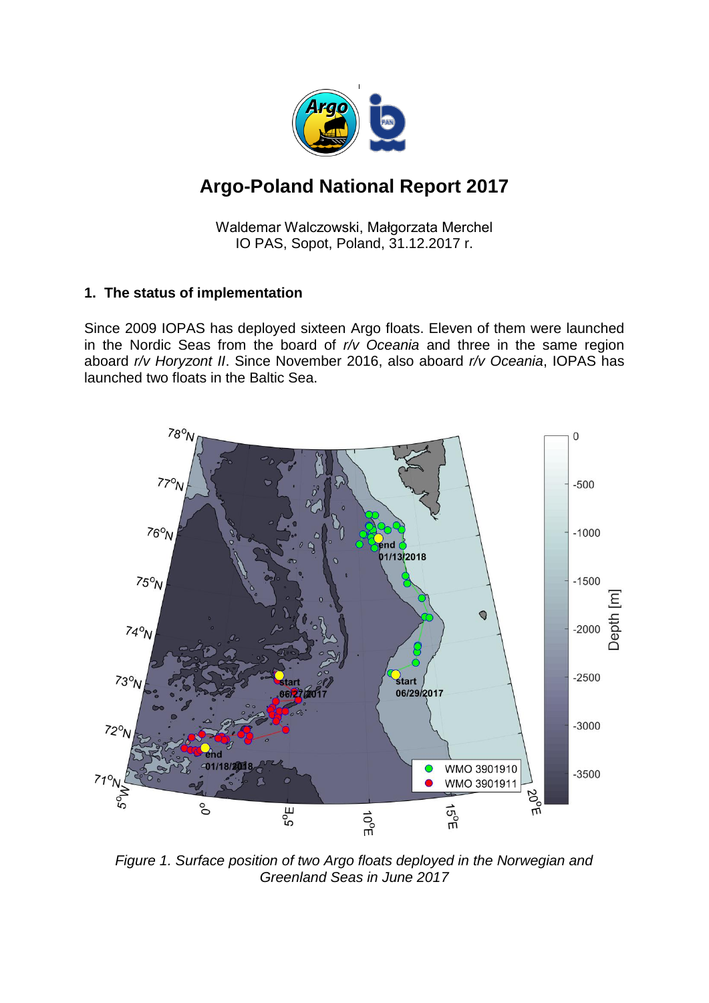

# **Argo-Poland National Report 2017**

Waldemar Walczowski, Małgorzata Merchel IO PAS, Sopot, Poland, 31.12.2017 r.

# **1. The status of implementation**

Since 2009 IOPAS has deployed sixteen Argo floats. Eleven of them were launched in the Nordic Seas from the board of *r/v Oceania* and three in the same region aboard *r/v Horyzont II*. Since November 2016, also aboard *r/v Oceania*, IOPAS has launched two floats in the Baltic Sea.



*Figure 1. Surface position of two Argo floats deployed in the Norwegian and Greenland Seas in June 2017*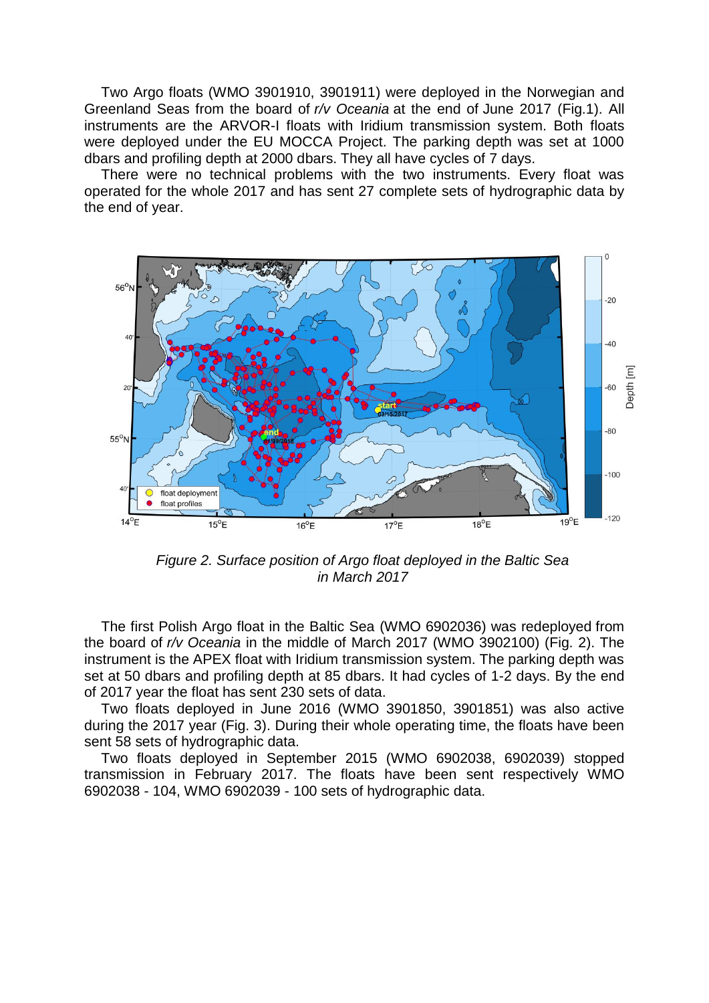Two Argo floats (WMO 3901910, 3901911) were deployed in the Norwegian and Greenland Seas from the board of *r/v Oceania* at the end of June 2017 (Fig.1). All instruments are the ARVOR-I floats with Iridium transmission system. Both floats were deployed under the EU MOCCA Project. The parking depth was set at 1000 dbars and profiling depth at 2000 dbars. They all have cycles of 7 days.

There were no technical problems with the two instruments. Every float was operated for the whole 2017 and has sent 27 complete sets of hydrographic data by the end of year.



*Figure 2. Surface position of Argo float deployed in the Baltic Sea in March 2017*

The first Polish Argo float in the Baltic Sea (WMO 6902036) was redeployed from the board of *r/v Oceania* in the middle of March 2017 (WMO 3902100) (Fig. 2). The instrument is the APEX float with Iridium transmission system. The parking depth was set at 50 dbars and profiling depth at 85 dbars. It had cycles of 1-2 days. By the end of 2017 year the float has sent 230 sets of data.

Two floats deployed in June 2016 (WMO 3901850, 3901851) was also active during the 2017 year (Fig. 3). During their whole operating time, the floats have been sent 58 sets of hydrographic data.

Two floats deployed in September 2015 (WMO 6902038, 6902039) stopped transmission in February 2017. The floats have been sent respectively WMO 6902038 - 104, WMO 6902039 - 100 sets of hydrographic data.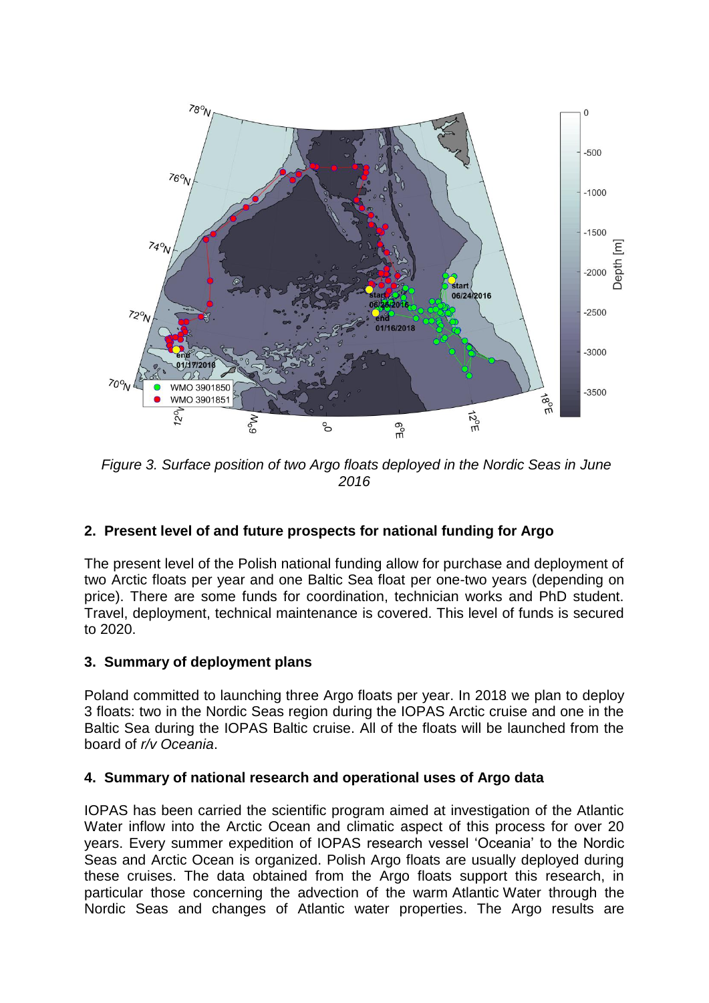

*Figure 3. Surface position of two Argo floats deployed in the Nordic Seas in June 2016*

# **2. Present level of and future prospects for national funding for Argo**

The present level of the Polish national funding allow for purchase and deployment of two Arctic floats per year and one Baltic Sea float per one-two years (depending on price). There are some funds for coordination, technician works and PhD student. Travel, deployment, technical maintenance is covered. This level of funds is secured to 2020.

#### **3. Summary of deployment plans**

Poland committed to launching three Argo floats per year. In 2018 we plan to deploy 3 floats: two in the Nordic Seas region during the IOPAS Arctic cruise and one in the Baltic Sea during the IOPAS Baltic cruise. All of the floats will be launched from the board of *r/v Oceania*.

#### **4. Summary of national research and operational uses of Argo data**

IOPAS has been carried the scientific program aimed at investigation of the Atlantic Water inflow into the Arctic Ocean and climatic aspect of this process for over 20 years. Every summer expedition of IOPAS research vessel 'Oceania' to the Nordic Seas and Arctic Ocean is organized. Polish Argo floats are usually deployed during these cruises. The data obtained from the Argo floats support this research, in particular those concerning the advection of the warm Atlantic Water through the Nordic Seas and changes of Atlantic water properties. The Argo results are